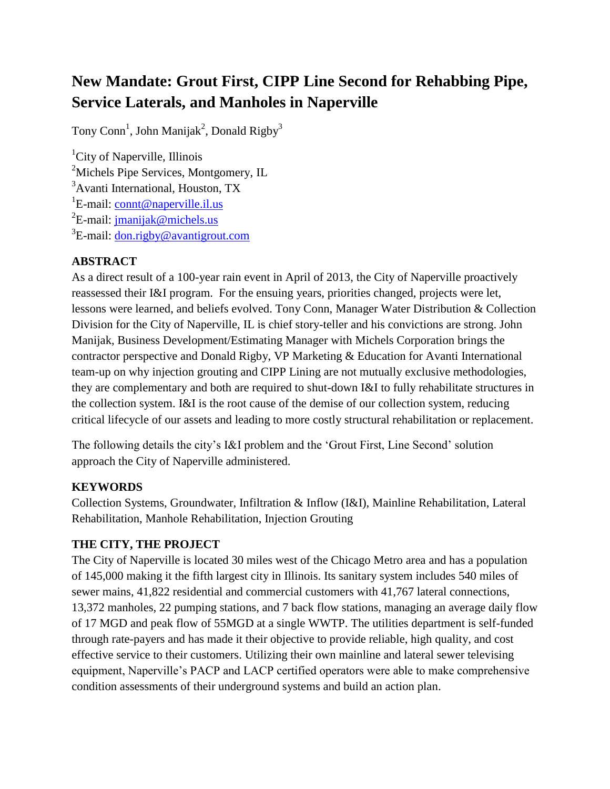# **New Mandate: Grout First, CIPP Line Second for Rehabbing Pipe, Service Laterals, and Manholes in Naperville**

Tony Conn<sup>1</sup>, John Manijak<sup>2</sup>, Donald Rigby<sup>3</sup>

<sup>1</sup>City of Naperville, Illinois <sup>2</sup>Michels Pipe Services, Montgomery, IL <sup>3</sup>Avanti International, Houston, TX <sup>1</sup>E-mail: [connt@naperville.il.us](mailto:connt@naperville.il.us) <sup>2</sup>E-mail: <u>jmanijak@michels.us</u> <sup>3</sup>E-mail: <u>don.rigby@avantigrout.com</u>

# **ABSTRACT**

As a direct result of a 100-year rain event in April of 2013, the City of Naperville proactively reassessed their I&I program. For the ensuing years, priorities changed, projects were let, lessons were learned, and beliefs evolved. Tony Conn, Manager Water Distribution & Collection Division for the City of Naperville, IL is chief story-teller and his convictions are strong. John Manijak, Business Development/Estimating Manager with Michels Corporation brings the contractor perspective and Donald Rigby, VP Marketing & Education for Avanti International team-up on why injection grouting and CIPP Lining are not mutually exclusive methodologies, they are complementary and both are required to shut-down I&I to fully rehabilitate structures in the collection system. I&I is the root cause of the demise of our collection system, reducing critical lifecycle of our assets and leading to more costly structural rehabilitation or replacement.

The following details the city's I&I problem and the 'Grout First, Line Second' solution approach the City of Naperville administered.

## **KEYWORDS**

Collection Systems, Groundwater, Infiltration & Inflow (I&I), Mainline Rehabilitation, Lateral Rehabilitation, Manhole Rehabilitation, Injection Grouting

## **THE CITY, THE PROJECT**

The City of Naperville is located 30 miles west of the Chicago Metro area and has a population of 145,000 making it the fifth largest city in Illinois. Its sanitary system includes 540 miles of sewer mains, 41,822 residential and commercial customers with 41,767 lateral connections, 13,372 manholes, 22 pumping stations, and 7 back flow stations, managing an average daily flow of 17 MGD and peak flow of 55MGD at a single WWTP. The utilities department is self-funded through rate-payers and has made it their objective to provide reliable, high quality, and cost effective service to their customers. Utilizing their own mainline and lateral sewer televising equipment, Naperville's PACP and LACP certified operators were able to make comprehensive condition assessments of their underground systems and build an action plan.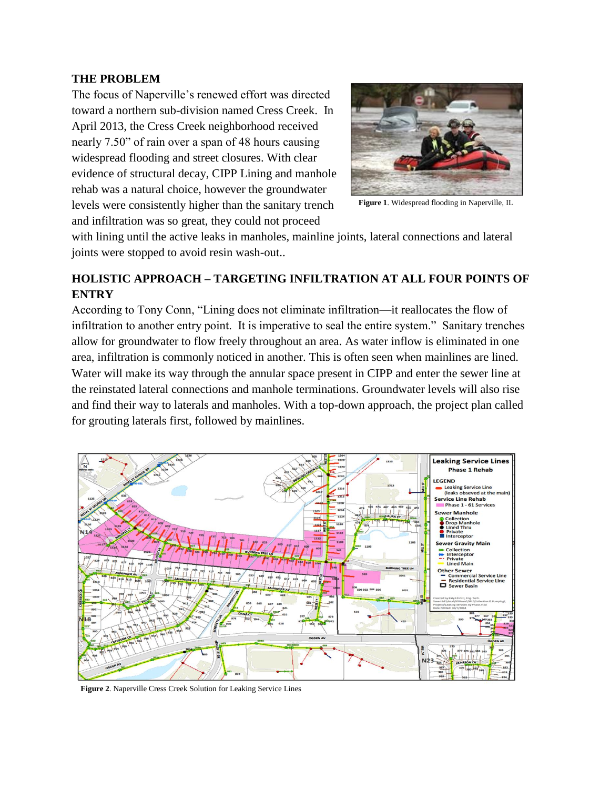#### **THE PROBLEM**

The focus of Naperville's renewed effort was directed toward a northern sub-division named Cress Creek. In April 2013, the Cress Creek neighborhood received nearly 7.50" of rain over a span of 48 hours causing widespread flooding and street closures. With clear evidence of structural decay, CIPP Lining and manhole rehab was a natural choice, however the groundwater levels were consistently higher than the sanitary trench and infiltration was so great, they could not proceed



**Figure 1**. Widespread flooding in Naperville, IL

with lining until the active leaks in manholes, mainline joints, lateral connections and lateral joints were stopped to avoid resin wash-out..

## **HOLISTIC APPROACH – TARGETING INFILTRATION AT ALL FOUR POINTS OF ENTRY**

According to Tony Conn, "Lining does not eliminate infiltration—it reallocates the flow of infiltration to another entry point. It is imperative to seal the entire system." Sanitary trenches allow for groundwater to flow freely throughout an area. As water inflow is eliminated in one area, infiltration is commonly noticed in another. This is often seen when mainlines are lined. Water will make its way through the annular space present in CIPP and enter the sewer line at the reinstated lateral connections and manhole terminations. Groundwater levels will also rise and find their way to laterals and manholes. With a top-down approach, the project plan called for grouting laterals first, followed by mainlines.



**Figure 2**. Naperville Cress Creek Solution for Leaking Service Lines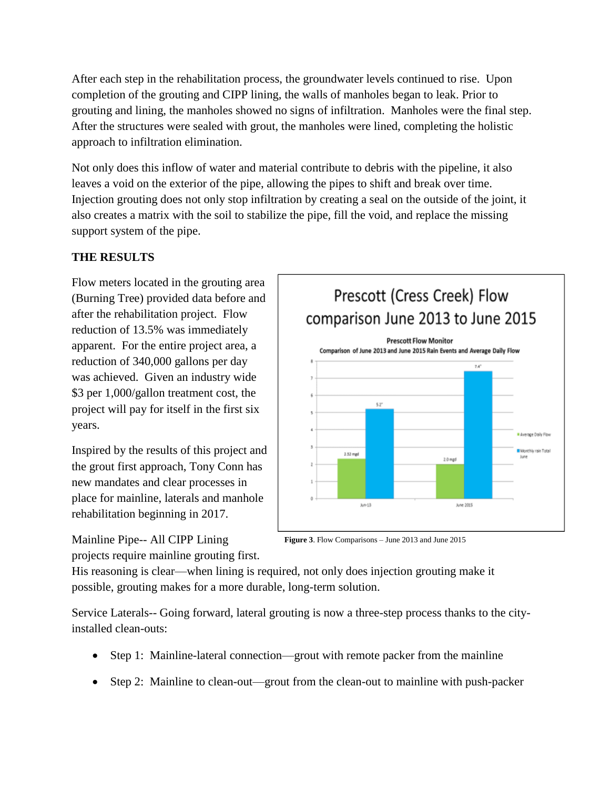After each step in the rehabilitation process, the groundwater levels continued to rise. Upon completion of the grouting and CIPP lining, the walls of manholes began to leak. Prior to grouting and lining, the manholes showed no signs of infiltration. Manholes were the final step. After the structures were sealed with grout, the manholes were lined, completing the holistic approach to infiltration elimination.

Not only does this inflow of water and material contribute to debris with the pipeline, it also leaves a void on the exterior of the pipe, allowing the pipes to shift and break over time. Injection grouting does not only stop infiltration by creating a seal on the outside of the joint, it also creates a matrix with the soil to stabilize the pipe, fill the void, and replace the missing support system of the pipe.

### **THE RESULTS**

Flow meters located in the grouting area (Burning Tree) provided data before and after the rehabilitation project. Flow reduction of 13.5% was immediately apparent. For the entire project area, a reduction of 340,000 gallons per day was achieved. Given an industry wide \$3 per 1,000/gallon treatment cost, the project will pay for itself in the first six years.

Inspired by the results of this project and the grout first approach, Tony Conn has new mandates and clear processes in place for mainline, laterals and manhole rehabilitation beginning in 2017.

Mainline Pipe-- All CIPP Lining

projects require mainline grouting first.



**Figure 3**. Flow Comparisons – June 2013 and June 2015

His reasoning is clear—when lining is required, not only does injection grouting make it possible, grouting makes for a more durable, long-term solution.

Service Laterals-- Going forward, lateral grouting is now a three-step process thanks to the cityinstalled clean-outs:

- Step 1: Mainline-lateral connection—grout with remote packer from the mainline
- Step 2: Mainline to clean-out—grout from the clean-out to mainline with push-packer